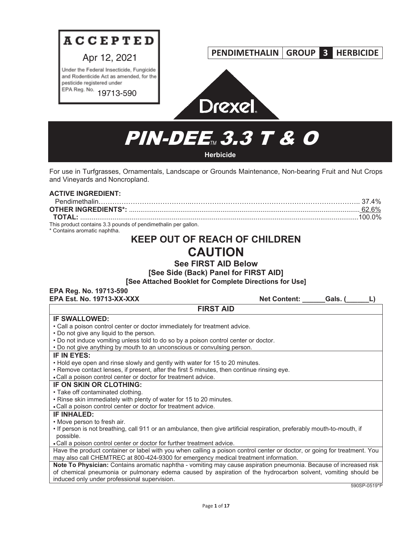

# **PENDIMETHALIN GROUP 3 HERBICIDE**



# **PIN-DEE<sub>M</sub> 3.3 T & O Herbicide**

For use in Turfgrasses, Ornamentals, Landscape or Grounds Maintenance, Non-bearing Fruit and Nut Crops and Vineyards and Noncropland.

| <b>ACTIVE INGREDIENT:</b>                                                                     |  |
|-----------------------------------------------------------------------------------------------|--|
|                                                                                               |  |
|                                                                                               |  |
|                                                                                               |  |
| This product contains 3.3 pounds of pendimethalin per gallon.<br>* Contains aromatic naphtha. |  |

# **KEEP OUT OF REACH OF CHILDREN CAUTION**

**See FIRST AID Below**

**[See Side (Back) Panel for FIRST AID]**

**[See Attached Booklet for Complete Directions for Use]**

| EPA Reg. No. 19713-590                                                                                                   |                     |                     |
|--------------------------------------------------------------------------------------------------------------------------|---------------------|---------------------|
| <b>EPA Est. No. 19713-XX-XXX</b>                                                                                         | <b>Net Content:</b> | Gals. (             |
| <b>FIRST AID</b>                                                                                                         |                     |                     |
| <b>IF SWALLOWED:</b>                                                                                                     |                     |                     |
| • Call a poison control center or doctor immediately for treatment advice.                                               |                     |                     |
| • Do not give any liquid to the person.                                                                                  |                     |                     |
| . Do not induce vomiting unless told to do so by a poison control center or doctor.                                      |                     |                     |
| . Do not give anything by mouth to an unconscious or convulsing person.                                                  |                     |                     |
| IF IN EYES:                                                                                                              |                     |                     |
| • Hold eye open and rinse slowly and gently with water for 15 to 20 minutes.                                             |                     |                     |
| • Remove contact lenses, if present, after the first 5 minutes, then continue rinsing eye.                               |                     |                     |
| • Call a poison control center or doctor for treatment advice.                                                           |                     |                     |
| IF ON SKIN OR CLOTHING:                                                                                                  |                     |                     |
| • Take off contaminated clothing.                                                                                        |                     |                     |
| . Rinse skin immediately with plenty of water for 15 to 20 minutes.                                                      |                     |                     |
| • Call a poison control center or doctor for treatment advice.                                                           |                     |                     |
| <b>IF INHALED:</b>                                                                                                       |                     |                     |
| • Move person to fresh air.                                                                                              |                     |                     |
| . If person is not breathing, call 911 or an ambulance, then give artificial respiration, preferably mouth-to-mouth, if  |                     |                     |
| possible.                                                                                                                |                     |                     |
| • Call a poison control center or doctor for further treatment advice.                                                   |                     |                     |
| Have the product container or label with you when calling a poison control center or doctor, or going for treatment. You |                     |                     |
| may also call CHEMTREC at 800-424-9300 for emergency medical treatment information.                                      |                     |                     |
| Note To Physician: Contains aromatic naphtha - vomiting may cause aspiration pneumonia. Because of increased risk        |                     |                     |
| of chemical pneumonia or pulmonary edema caused by aspiration of the hydrocarbon solvent, vomiting should be             |                     |                     |
| induced only under professional supervision.                                                                             |                     | $EOMCD$ $0E4$ $0*D$ |

590SP-0519\*P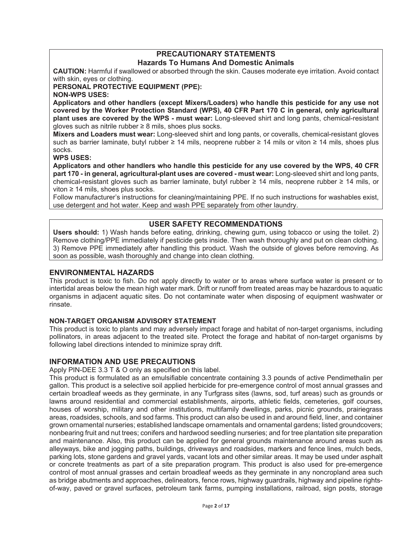# **PRECAUTIONARY STATEMENTS Hazards To Humans And Domestic Animals**

**CAUTION:** Harmful if swallowed or absorbed through the skin. Causes moderate eye irritation. Avoid contact with skin, eyes or clothing.

**PERSONAL PROTECTIVE EQUIPMENT (PPE): NON-WPS USES:**

**Applicators and other handlers (except Mixers/Loaders) who handle this pesticide for any use not covered by the Worker Protection Standard (WPS), 40 CFR Part 170 C in general, only agricultural** 

**plant uses are covered by the WPS - must wear:** Long-sleeved shirt and long pants, chemical-resistant gloves such as nitrile rubber  $\geq 8$  mils, shoes plus socks.

**Mixers and Loaders must wear:** Long-sleeved shirt and long pants, or coveralls, chemical-resistant gloves such as barrier laminate, butyl rubber  $\geq 14$  mils, neoprene rubber  $\geq 14$  mils or viton  $\geq 14$  mils, shoes plus socks.

# **WPS USES:**

**Applicators and other handlers who handle this pesticide for any use covered by the WPS, 40 CFR part 170 - in general, agricultural-plant uses are covered - must wear:** Long-sleeved shirt and long pants, chemical-resistant gloves such as barrier laminate, butyl rubber  $\geq 14$  mils, neoprene rubber  $\geq 14$  mils, or viton  $\geq$  14 mils, shoes plus socks.

Follow manufacturer's instructions for cleaning/maintaining PPE. If no such instructions for washables exist, use detergent and hot water. Keep and wash PPE separately from other laundry.

# **USER SAFETY RECOMMENDATIONS**

**Users should:** 1) Wash hands before eating, drinking, chewing gum, using tobacco or using the toilet. 2) Remove clothing/PPE immediately if pesticide gets inside. Then wash thoroughly and put on clean clothing. 3) Remove PPE immediately after handling this product. Wash the outside of gloves before removing. As soon as possible, wash thoroughly and change into clean clothing.

# **ENVIRONMENTAL HAZARDS**

This product is toxic to fish. Do not apply directly to water or to areas where surface water is present or to intertidal areas below the mean high water mark. Drift or runoff from treated areas may be hazardous to aquatic organisms in adjacent aquatic sites. Do not contaminate water when disposing of equipment washwater or rinsate.

# **NON-TARGET ORGANISM ADVISORY STATEMENT**

This product is toxic to plants and may adversely impact forage and habitat of non-target organisms, including pollinators, in areas adjacent to the treated site. Protect the forage and habitat of non-target organisms by following label directions intended to minimize spray drift.

# **INFORMATION AND USE PRECAUTIONS**

Apply PIN-DEE 3.3 T & O only as specified on this label.

This product is formulated as an emulsifiable concentrate containing 3.3 pounds of active Pendimethalin per gallon. This product is a selective soil applied herbicide for pre-emergence control of most annual grasses and certain broadleaf weeds as they germinate, in any Turfgrass sites (lawns, sod, turf areas) such as grounds or lawns around residential and commercial establishments, airports, athletic fields, cemeteries, golf courses, houses of worship, military and other institutions, multifamily dwellings, parks, picnic grounds, prairiegrass areas, roadsides, schools, and sod farms. This product can also be used in and around field, liner, and container grown ornamental nurseries; established landscape ornamentals and ornamental gardens; listed groundcovers; nonbearing fruit and nut trees; conifers and hardwood seedling nurseries; and for tree plantation site preparation and maintenance. Also, this product can be applied for general grounds maintenance around areas such as alleyways, bike and jogging paths, buildings, driveways and roadsides, markers and fence lines, mulch beds, parking lots, stone gardens and gravel yards, vacant lots and other similar areas. It may be used under asphalt or concrete treatments as part of a site preparation program. This product is also used for pre-emergence control of most annual grasses and certain broadleaf weeds as they germinate in any noncropland area such as bridge abutments and approaches, delineators, fence rows, highway guardrails, highway and pipeline rightsof-way, paved or gravel surfaces, petroleum tank farms, pumping installations, railroad, sign posts, storage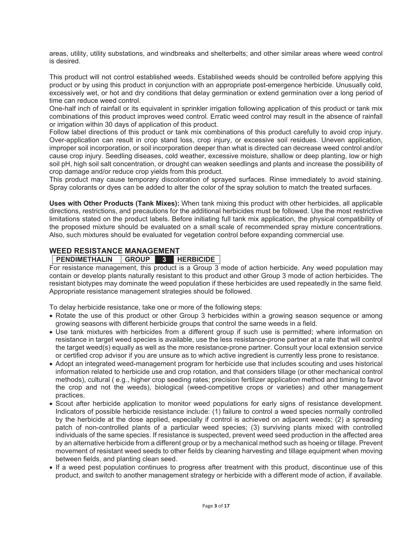areas, utility, utility substations, and windbreaks and shelterbelts; and other similar areas where weed control is desired.

This product will not control established weeds. Established weeds should be controlled before applying this product or by using this product in conjunction with an appropriate post-emergence herbicide. Unusually cold, excessively wet, or hot and dry conditions that delay germination or extend germination over a long period of time can reduce weed control.

One-half inch of rainfall or its equivalent in sprinkler irrigation following application of this product or tank mix combinations of this product improves weed control. Erratic weed control may result in the absence of rainfall or irrigation within 30 days of application of this product.

Follow label directions of this product or tank mix combinations of this product carefully to avoid crop injury. Over-application can result in crop stand loss, crop injury, or excessive soil residues. Uneven application, improper soil incorporation, or soil incorporation deeper than what is directed can decrease weed control and/or cause crop injury. Seedling diseases, cold weather, excessive moisture, shallow or deep planting, low or high soil pH, high soil salt concentration, or drought can weaken seedlings and plants and increase the possibility of crop damage and/or reduce crop yields from this product.

This product may cause temporary discoloration of sprayed surfaces. Rinse immediately to avoid staining. Spray colorants or dyes can be added to alter the color of the spray solution to match the treated surfaces.

**Uses with Other Products (Tank Mixes):** When tank mixing this product with other herbicides, all applicable directions, restrictions, and precautions for the additional herbicides must be followed. Use the most restrictive limitations stated on the product labels. Before initiating full tank mix application, the physical compatibility of the proposed mixture should be evaluated on a small scale of recommended spray mixture concentrations. Also, such mixtures should be evaluated for vegetation control before expanding commercial use.

# **WEED RESISTANCE MANAGEMENT**

# **PENDIMETHALIN GROUP 3 HERBICIDE**

For resistance management, this product is a Group 3 mode of action herbicide. Any weed population may contain or develop plants naturally resistant to this product and other Group 3 mode of action herbicides. The resistant biotypes may dominate the weed population if these herbicides are used repeatedly in the same field. Appropriate resistance management strategies should be followed.

To delay herbicide resistance, take one or more of the following steps:

- Rotate the use of this product or other Group 3 herbicides within a growing season sequence or among growing seasons with different herbicide groups that control the same weeds in a field.
- Use tank mixtures with herbicides from a different group if such use is permitted; where information on resistance in target weed species is available, use the less resistance-prone partner at a rate that will control the target weed(s) equally as well as the more resistance-prone partner. Consult your local extension service or certified crop advisor if you are unsure as to which active ingredient is currently less prone to resistance.
- Adopt an integrated weed-management program for herbicide use that includes scouting and uses historical information related to herbicide use and crop rotation, and that considers tillage (or other mechanical control methods), cultural ( e.g., higher crop seeding rates; precision fertilizer application method and timing to favor the crop and not the weeds), biological (weed-competitive crops or varieties) and other management practices.
- Scout after herbicide application to monitor weed populations for early signs of resistance development. Indicators of possible herbicide resistance include: (1) failure to control a weed species normally controlled by the herbicide at the dose applied, especially if control is achieved on adjacent weeds; (2) a spreading patch of non-controlled plants of a particular weed species; (3) surviving plants mixed with controlled individuals of the same species. If resistance is suspected, prevent weed seed production in the affected area by an alternative herbicide from a different group or by a mechanical method such as hoeing or tillage. Prevent movement of resistant weed seeds to other fields by cleaning harvesting and tillage equipment when moving between fields, and planting clean seed.
- If a weed pest population continues to progress after treatment with this product, discontinue use of this product, and switch to another management strategy or herbicide with a different mode of action, if available.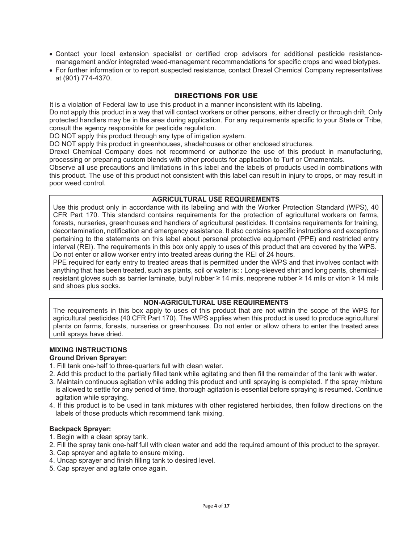- Contact your local extension specialist or certified crop advisors for additional pesticide resistancemanagement and/or integrated weed-management recommendations for specific crops and weed biotypes.
- For further information or to report suspected resistance, contact Drexel Chemical Company representatives at (901) 774-4370.

## DIRECTIONS FOR USE

It is a violation of Federal law to use this product in a manner inconsistent with its labeling.

Do not apply this product in a way that will contact workers or other persons, either directly or through drift. Only protected handlers may be in the area during application. For any requirements specific to your State or Tribe, consult the agency responsible for pesticide regulation.

DO NOT apply this product through any type of irrigation system.

DO NOT apply this product in greenhouses, shadehouses or other enclosed structures.

Drexel Chemical Company does not recommend or authorize the use of this product in manufacturing, processing or preparing custom blends with other products for application to Turf or Ornamentals.

Observe all use precautions and limitations in this label and the labels of products used in combinations with this product. The use of this product not consistent with this label can result in injury to crops, or may result in poor weed control.

## **AGRICULTURAL USE REQUIREMENTS**

Use this product only in accordance with its labeling and with the Worker Protection Standard (WPS), 40 CFR Part 170. This standard contains requirements for the protection of agricultural workers on farms, forests, nurseries, greenhouses and handlers of agricultural pesticides. It contains requirements for training, decontamination, notification and emergency assistance. It also contains specific instructions and exceptions pertaining to the statements on this label about personal protective equipment (PPE) and restricted entry interval (REI). The requirements in this box only apply to uses of this product that are covered by the WPS. Do not enter or allow worker entry into treated areas during the REI of 24 hours.

PPE required for early entry to treated areas that is permitted under the WPS and that involves contact with anything that has been treated, such as plants, soil or water is: **:** Long-sleeved shirt and long pants, chemicalresistant gloves such as barrier laminate, butyl rubber  $\geq 14$  mils, neoprene rubber  $\geq 14$  mils or viton  $\geq 14$  mils and shoes plus socks.

# **NON-AGRICULTURAL USE REQUIREMENTS**

The requirements in this box apply to uses of this product that are not within the scope of the WPS for agricultural pesticides (40 CFR Part 170). The WPS applies when this product is used to produce agricultural plants on farms, forests, nurseries or greenhouses. Do not enter or allow others to enter the treated area until sprays have dried.

# **MIXING INSTRUCTIONS**

**Ground Driven Sprayer:**

- 1. Fill tank one-half to three-quarters full with clean water.
- 2. Add this product to the partially filled tank while agitating and then fill the remainder of the tank with water.
- 3. Maintain continuous agitation while adding this product and until spraying is completed. If the spray mixture is allowed to settle for any period of time, thorough agitation is essential before spraying is resumed. Continue agitation while spraying.
- 4. If this product is to be used in tank mixtures with other registered herbicides, then follow directions on the labels of those products which recommend tank mixing.

# **Backpack Sprayer:**

- 1. Begin with a clean spray tank.
- 2. Fill the spray tank one-half full with clean water and add the required amount of this product to the sprayer.
- 3. Cap sprayer and agitate to ensure mixing.
- 4. Uncap sprayer and finish filling tank to desired level.
- 5. Cap sprayer and agitate once again.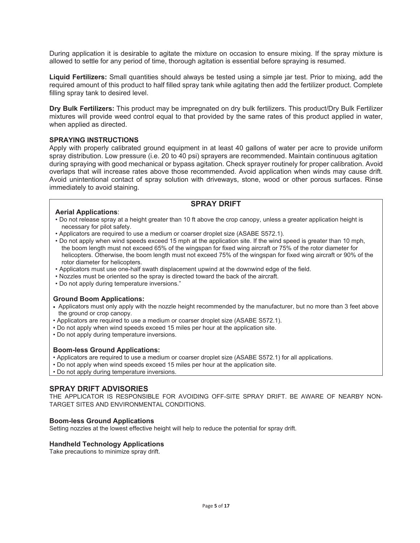During application it is desirable to agitate the mixture on occasion to ensure mixing. If the spray mixture is allowed to settle for any period of time, thorough agitation is essential before spraying is resumed.

**Liquid Fertilizers:** Small quantities should always be tested using a simple jar test. Prior to mixing, add the required amount of this product to half filled spray tank while agitating then add the fertilizer product. Complete filling spray tank to desired level.

**Dry Bulk Fertilizers:** This product may be impregnated on dry bulk fertilizers. This product/Dry Bulk Fertilizer mixtures will provide weed control equal to that provided by the same rates of this product applied in water, when applied as directed.

## **SPRAYING INSTRUCTIONS**

Apply with properly calibrated ground equipment in at least 40 gallons of water per acre to provide uniform spray distribution. Low pressure (i.e. 20 to 40 psi) sprayers are recommended. Maintain continuous agitation during spraying with good mechanical or bypass agitation. Check sprayer routinely for proper calibration. Avoid overlaps that will increase rates above those recommended. Avoid application when winds may cause drift. Avoid unintentional contact of spray solution with driveways, stone, wood or other porous surfaces. Rinse immediately to avoid staining.

# **SPRAY DRIFT**

- **Aerial Applications**: • Do not release spray at a height greater than 10 ft above the crop canopy, unless a greater application height is necessary for pilot safety.
- Applicators are required to use a medium or coarser droplet size (ASABE S572.1).
- Do not apply when wind speeds exceed 15 mph at the application site. If the wind speed is greater than 10 mph, the boom length must not exceed 65% of the wingspan for fixed wing aircraft or 75% of the rotor diameter for helicopters. Otherwise, the boom length must not exceed 75% of the wingspan for fixed wing aircraft or 90% of the rotor diameter for helicopters.
- Applicators must use one-half swath displacement upwind at the downwind edge of the field.
- Nozzles must be oriented so the spray is directed toward the back of the aircraft.
- Do not apply during temperature inversions."

#### **Ground Boom Applications:**

- Applicators must only apply with the nozzle height recommended by the manufacturer, but no more than 3 feet above the ground or crop canopy.
- Applicators are required to use a medium or coarser droplet size (ASABE S572.1).
- Do not apply when wind speeds exceed 15 miles per hour at the application site.
- Do not apply during temperature inversions.

#### **Boom-less Ground Applications:**

- Applicators are required to use a medium or coarser droplet size (ASABE S572.1) for all applications.
- Do not apply when wind speeds exceed 15 miles per hour at the application site.
- Do not apply during temperature inversions.

# **SPRAY DRIFT ADVISORIES**

THE APPLICATOR IS RESPONSIBLE FOR AVOIDING OFF-SITE SPRAY DRIFT. BE AWARE OF NEARBY NON-TARGET SITES AND ENVIRONMENTAL CONDITIONS.

#### **Boom-less Ground Applications**

Setting nozzles at the lowest effective height will help to reduce the potential for spray drift.

#### **Handheld Technology Applications**

Take precautions to minimize spray drift.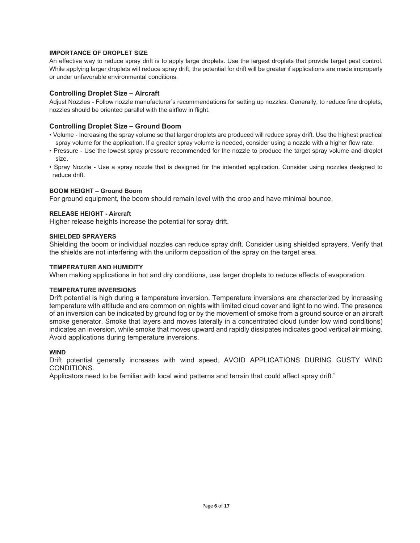#### **IMPORTANCE OF DROPLET SIZE**

An effective way to reduce spray drift is to apply large droplets. Use the largest droplets that provide target pest control. While applying larger droplets will reduce spray drift, the potential for drift will be greater if applications are made improperly or under unfavorable environmental conditions.

#### **Controlling Droplet Size – Aircraft**

Adjust Nozzles - Follow nozzle manufacturer's recommendations for setting up nozzles. Generally, to reduce fine droplets, nozzles should be oriented parallel with the airflow in flight.

#### **Controlling Droplet Size – Ground Boom**

- Volume Increasing the spray volume so that larger droplets are produced will reduce spray drift. Use the highest practical spray volume for the application. If a greater spray volume is needed, consider using a nozzle with a higher flow rate.
- Pressure Use the lowest spray pressure recommended for the nozzle to produce the target spray volume and droplet size.
- Spray Nozzle Use a spray nozzle that is designed for the intended application. Consider using nozzles designed to reduce drift.

#### **BOOM HEIGHT – Ground Boom**

For ground equipment, the boom should remain level with the crop and have minimal bounce.

#### **RELEASE HEIGHT - Aircraft**

Higher release heights increase the potential for spray drift.

#### **SHIELDED SPRAYERS**

Shielding the boom or individual nozzles can reduce spray drift. Consider using shielded sprayers. Verify that the shields are not interfering with the uniform deposition of the spray on the target area.

#### **TEMPERATURE AND HUMIDITY**

When making applications in hot and dry conditions, use larger droplets to reduce effects of evaporation.

#### **TEMPERATURE INVERSIONS**

Drift potential is high during a temperature inversion. Temperature inversions are characterized by increasing temperature with altitude and are common on nights with limited cloud cover and light to no wind. The presence of an inversion can be indicated by ground fog or by the movement of smoke from a ground source or an aircraft smoke generator. Smoke that layers and moves laterally in a concentrated cloud (under low wind conditions) indicates an inversion, while smoke that moves upward and rapidly dissipates indicates good vertical air mixing. Avoid applications during temperature inversions.

#### **WIND**

Drift potential generally increases with wind speed. AVOID APPLICATIONS DURING GUSTY WIND CONDITIONS.

Applicators need to be familiar with local wind patterns and terrain that could affect spray drift."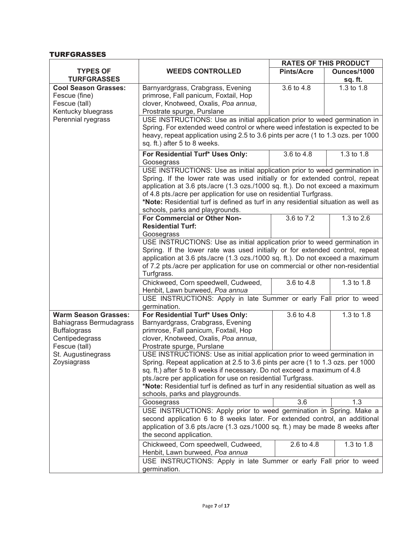# TURFGRASSES

|                                                                                          |                                                                                                                                                                                                                                                                                                                                                                                                                                  |                   | <b>RATES OF THIS PRODUCT</b> |
|------------------------------------------------------------------------------------------|----------------------------------------------------------------------------------------------------------------------------------------------------------------------------------------------------------------------------------------------------------------------------------------------------------------------------------------------------------------------------------------------------------------------------------|-------------------|------------------------------|
| <b>TYPES OF</b>                                                                          | <b>WEEDS CONTROLLED</b>                                                                                                                                                                                                                                                                                                                                                                                                          | <b>Pints/Acre</b> | Ounces/1000                  |
| <b>TURFGRASSES</b>                                                                       |                                                                                                                                                                                                                                                                                                                                                                                                                                  |                   | sq. ft.                      |
| <b>Cool Season Grasses:</b><br>Fescue (fine)<br>Fescue (tall)<br>Kentucky bluegrass      | Barnyardgrass, Crabgrass, Evening<br>primrose, Fall panicum, Foxtail, Hop<br>clover, Knotweed, Oxalis, Poa annua,<br>Prostrate spurge, Purslane                                                                                                                                                                                                                                                                                  | 3.6 to 4.8        | 1.3 to 1.8                   |
| Perennial ryegrass                                                                       | USE INSTRUCTIONS: Use as initial application prior to weed germination in                                                                                                                                                                                                                                                                                                                                                        |                   |                              |
|                                                                                          | Spring. For extended weed control or where weed infestation is expected to be<br>heavy, repeat application using 2.5 to 3.6 pints per acre (1 to 1.3 ozs. per 1000<br>sq. ft.) after 5 to 8 weeks.                                                                                                                                                                                                                               |                   |                              |
|                                                                                          | For Residential Turf* Uses Only:<br>Goosegrass                                                                                                                                                                                                                                                                                                                                                                                   | 3.6 to 4.8        | 1.3 to 1.8                   |
|                                                                                          | USE INSTRUCTIONS: Use as initial application prior to weed germination in                                                                                                                                                                                                                                                                                                                                                        |                   |                              |
|                                                                                          | Spring. If the lower rate was used initially or for extended control, repeat<br>application at 3.6 pts./acre (1.3 ozs./1000 sq. ft.). Do not exceed a maximum<br>of 4.8 pts./acre per application for use on residential Turfgrass.<br>*Note: Residential turf is defined as turf in any residential situation as well as<br>schools, parks and playgrounds.                                                                     |                   |                              |
|                                                                                          | For Commercial or Other Non-                                                                                                                                                                                                                                                                                                                                                                                                     | 3.6 to 7.2        | 1.3 to 2.6                   |
|                                                                                          | <b>Residential Turf:</b>                                                                                                                                                                                                                                                                                                                                                                                                         |                   |                              |
|                                                                                          | Goosegrass                                                                                                                                                                                                                                                                                                                                                                                                                       |                   |                              |
|                                                                                          | USE INSTRUCTIONS: Use as initial application prior to weed germination in<br>Spring. If the lower rate was used initially or for extended control, repeat<br>application at 3.6 pts./acre (1.3 ozs./1000 sq. ft.). Do not exceed a maximum<br>of 7.2 pts./acre per application for use on commercial or other non-residential<br>Turfgrass.                                                                                      |                   |                              |
|                                                                                          | Chickweed, Corn speedwell, Cudweed,                                                                                                                                                                                                                                                                                                                                                                                              | 3.6 to 4.8        | 1.3 to 1.8                   |
|                                                                                          | Henbit, Lawn burweed, Poa annua<br>USE INSTRUCTIONS: Apply in late Summer or early Fall prior to weed<br>germination.                                                                                                                                                                                                                                                                                                            |                   |                              |
| <b>Warm Season Grasses:</b>                                                              | For Residential Turf* Uses Only:                                                                                                                                                                                                                                                                                                                                                                                                 | 3.6 to 4.8        | 1.3 to 1.8                   |
| <b>Bahiagrass Bermudagrass</b><br><b>Buffalograss</b><br>Centipedegrass<br>Fescue (tall) | Barnyardgrass, Crabgrass, Evening<br>primrose, Fall panicum, Foxtail, Hop<br>clover, Knotweed, Oxalis, Poa annua,<br>Prostrate spurge, Purslane                                                                                                                                                                                                                                                                                  |                   |                              |
| St. Augustinegrass<br>Zoysiagrass                                                        | USE INSTRUCTIONS: Use as initial application prior to weed germination in<br>Spring. Repeat application at 2.5 to 3.6 pints per acre (1 to 1.3 ozs. per 1000<br>sq. ft.) after 5 to 8 weeks if necessary. Do not exceed a maximum of 4.8<br>pts./acre per application for use on residential Turfgrass.<br>*Note: Residential turf is defined as turf in any residential situation as well as<br>schools, parks and playgrounds. |                   |                              |
|                                                                                          | Goosegrass                                                                                                                                                                                                                                                                                                                                                                                                                       | 3.6               | 1.3                          |
|                                                                                          | USE INSTRUCTIONS: Apply prior to weed germination in Spring. Make a<br>second application 6 to 8 weeks later. For extended control, an additional<br>application of 3.6 pts./acre (1.3 ozs./1000 sq. ft.) may be made 8 weeks after<br>the second application.                                                                                                                                                                   |                   |                              |
|                                                                                          | Chickweed, Corn speedwell, Cudweed,<br>Henbit, Lawn burweed, Poa annua                                                                                                                                                                                                                                                                                                                                                           | 2.6 to 4.8        | 1.3 to 1.8                   |
|                                                                                          | USE INSTRUCTIONS: Apply in late Summer or early Fall prior to weed<br>germination.                                                                                                                                                                                                                                                                                                                                               |                   |                              |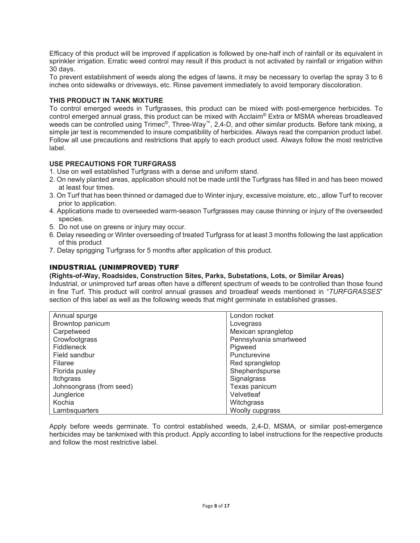Efficacy of this product will be improved if application is followed by one-half inch of rainfall or its equivalent in sprinkler irrigation. Erratic weed control may result if this product is not activated by rainfall or irrigation within 30 days.

To prevent establishment of weeds along the edges of lawns, it may be necessary to overlap the spray 3 to 6 inches onto sidewalks or driveways, etc. Rinse pavement immediately to avoid temporary discoloration.

# **THIS PRODUCT IN TANK MIXTURE**

To control emerged weeds in Turfgrasses, this product can be mixed with post-emergence herbicides. To control emerged annual grass, this product can be mixed with Acclaim® Extra or MSMA whereas broadleaved weeds can be controlled using Trimec®, Three-Way™, 2,4-D, and other similar products. Before tank mixing, a simple jar test is recommended to insure compatibility of herbicides. Always read the companion product label. Follow all use precautions and restrictions that apply to each product used. Always follow the most restrictive label.

## **USE PRECAUTIONS FOR TURFGRASS**

- 1. Use on well established Turfgrass with a dense and uniform stand.
- 2. On newly planted areas, application should not be made until the Turfgrass has filled in and has been mowed at least four times.
- 3. On Turf that has been thinned or damaged due to Winter injury, excessive moisture, etc., allow Turf to recover prior to application.
- 4. Applications made to overseeded warm-season Turfgrasses may cause thinning or injury of the overseeded species.
- 5. Do not use on greens or injury may occur.
- 6. Delay reseeding or Winter overseeding of treated Turfgrass for at least 3 months following the last application of this product
- 7. Delay sprigging Turfgrass for 5 months after application of this product.

# INDUSTRIAL (UNIMPROVED) TURF

# **(Rights-of-Way, Roadsides, Construction Sites, Parks, Substations, Lots, or Similar Areas)**

Industrial, or unimproved turf areas often have a different spectrum of weeds to be controlled than those found in fine Turf. This product will control annual grasses and broadleaf weeds mentioned in "*TURFGRASSES*" section of this label as well as the following weeds that might germinate in established grasses.

| Annual spurge            | London rocket          |
|--------------------------|------------------------|
| Browntop panicum         | Lovegrass              |
| Carpetweed               | Mexican sprangletop    |
| Crowfootgrass            | Pennsylvania smartweed |
| Fiddleneck               | Pigweed                |
| Field sandbur            | Puncturevine           |
| Filaree                  | Red sprangletop        |
| Florida pusley           | Shepherdspurse         |
| Itchgrass                | Signalgrass            |
| Johnsongrass (from seed) | Texas panicum          |
| Junglerice               | Velvetleaf             |
| Kochia                   | Witchgrass             |
| Lambsquarters            | Woolly cupgrass        |

Apply before weeds germinate. To control established weeds, 2,4-D, MSMA, or similar post-emergence herbicides may be tankmixed with this product. Apply according to label instructions for the respective products and follow the most restrictive label.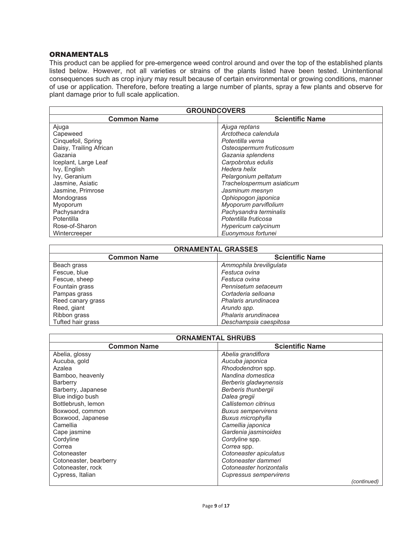#### ORNAMENTALS

This product can be applied for pre-emergence weed control around and over the top of the established plants listed below. However, not all varieties or strains of the plants listed have been tested. Unintentional consequences such as crop injury may result because of certain environmental or growing conditions, manner of use or application. Therefore, before treating a large number of plants, spray a few plants and observe for plant damage prior to full scale application.

| <b>GROUNDCOVERS</b>     |                           |  |
|-------------------------|---------------------------|--|
| <b>Common Name</b>      | <b>Scientific Name</b>    |  |
| Ajuga                   | Ajuga reptans             |  |
| Capeweed                | Arctotheca calendula      |  |
| Cinquefoil, Spring      | Potentilla verna          |  |
| Daisy, Trailing African | Osteospermum fruticosum   |  |
| Gazania                 | Gazania splendens         |  |
| Iceplant, Large Leaf    | Carpobrotus edulis        |  |
| Ivy, English            | Hedera helix              |  |
| Ivy, Geranium           | Pelargonium peltatum      |  |
| Jasmine, Asiatic        | Trachelospermum asiaticum |  |
| Jasmine, Primrose       | Jasminum mesnyn           |  |
| Mondograss              | Ophiopogon japonica       |  |
| Myoporum                | Myoporum parviflolium     |  |
| Pachysandra             | Pachysandra terminalis    |  |
| <b>Potentilla</b>       | Potentilla fruticosa      |  |
| Rose-of-Sharon          | Hypericum calycinum       |  |
| Wintercreeper           | Euonymous fortunei        |  |

| <b>ORNAMENTAL GRASSES</b> |                         |  |
|---------------------------|-------------------------|--|
| <b>Common Name</b>        | <b>Scientific Name</b>  |  |
| Beach grass               | Ammophila breviliqulata |  |
| Fescue, blue              | Festuca ovina           |  |
| Fescue, sheep             | Festuca ovina           |  |
| Fountain grass            | Pennisetum setaceum     |  |
| Pampas grass              | Cortaderia selloana     |  |
| Reed canary grass         | Phalaris arundinacea    |  |
| Reed, giant               | Arundo spp.             |  |
| Ribbon grass              | Phalaris arundinacea    |  |
| Tufted hair grass         | Deschampsia caespitosa  |  |

| <b>ORNAMENTAL SHRUBS</b> |                           |  |
|--------------------------|---------------------------|--|
| <b>Common Name</b>       | <b>Scientific Name</b>    |  |
| Abelia, glossy           | Abelia grandiflora        |  |
| Aucuba, gold             | Aucuba japonica           |  |
| Azalea                   | Rhododendron spp.         |  |
| Bamboo, heavenly         | Nandina domestica         |  |
| <b>Barberry</b>          | Berberis gladwynensis     |  |
| Barberry, Japanese       | Berberis thunbergii       |  |
| Blue indigo bush         | Dalea gregii              |  |
| Bottlebrush, lemon       | Callistemon citrinus      |  |
| Boxwood, common          | <b>Buxus sempervirens</b> |  |
| Boxwood, Japanese        | Buxus microphylla         |  |
| Camellia                 | Camellia japonica         |  |
| Cape jasmine             | Gardenia jasminoides      |  |
| Cordyline                | Cordyline spp.            |  |
| Correa                   | Correa spp.               |  |
| Cotoneaster              | Cotoneaster apiculatus    |  |
| Cotoneaster, bearberry   | Cotoneaster dammeri       |  |
| Cotoneaster, rock        | Cotoneaster horizontalis  |  |
| Cypress, Italian         | Cupressus sempervirens    |  |
|                          | (continued)               |  |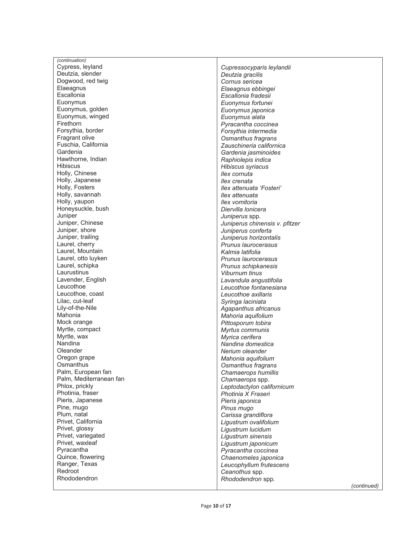| (continuation)                     |                                                  |
|------------------------------------|--------------------------------------------------|
| Cypress, leyland                   | Cupressocyparis leylandii                        |
| Deutzia, slender                   | Deutzia gracilis                                 |
| Dogwood, red twig                  | Cornus sericea                                   |
| Elaeagnus                          | Elaeagnus ebbingei                               |
| Escallonia                         | Escallonia fradesii                              |
| Euonymus                           | Euonymus fortunei                                |
| Euonymus, golden                   | Euonymus japonica                                |
| Euonymus, winged                   | Euonymus alata                                   |
| Firethorn                          | Pyracantha coccinea                              |
| Forsythia, border                  | Forsythia intermedia                             |
| Fragrant olive                     | Osmanthus fragrans                               |
| Fuschia, California                | Zauschineria californica                         |
| Gardenia                           | Gardenia jasminoides                             |
| Hawthorne, Indian                  | Raphiolepis indica                               |
| <b>Hibiscus</b>                    | Hibiscus syriacus                                |
| Holly, Chinese                     | llex cornuta                                     |
| Holly, Japanese                    | llex crenata                                     |
| Holly, Fosters                     | llex attenuata 'Fosteri'                         |
| Holly, savannah                    | llex attenuata                                   |
| Holly, yaupon                      | Ilex vomitoria                                   |
| Honeysuckle, bush                  | Diervilla lonicera                               |
| Juniper                            | Juniperus spp.                                   |
| Juniper, Chinese                   | Juniperus chinensis v. pfitzer                   |
| Juniper, shore                     | Juniperus conferta                               |
| Juniper, trailing                  | Juniperus horizontalis                           |
| Laurel, cherry<br>Laurel, Mountain | Prunus laurocerasus<br>Kalmia latifolia          |
| Laurel, otto luyken                |                                                  |
| Laurel, schipka                    | Prunus laurocerasus                              |
| Laurustinus                        | Prunus schipkanesis                              |
| Lavender, English                  | Viburnum tinus                                   |
| Leucothoe                          | Lavandula angustifolia<br>Leucothoe fontanesiana |
| Leucothoe, coast                   | Leucothoe axillaris                              |
| Lilac, cut-leaf                    | Syringa laciniata                                |
| Lily-of-the-Nile                   | Agapanthus africanus                             |
| Mahonia                            | Mahoria aquifolium                               |
| Mock orange                        | Pittosporum tobira                               |
| Myrtle, compact                    | Myrtus communis                                  |
| Myrtle, wax                        | Myrica cerifera                                  |
| Nandina                            | Nandina domestica                                |
| Oleander                           | Nerium oleander                                  |
| Oregon grape                       | Mahonia aquifolium                               |
| Osmanthus                          | Osmanthus fragrans                               |
| Palm, European fan                 | Chamaerops humillis                              |
| Palm, Mediterranean fan            | Chamaerops spp.                                  |
| Phlox, prickly                     | Leptodactylon californicum                       |
| Photinia, fraser                   | Photinia X Fraseri                               |
| Pieris, Japanese                   | Pieris japonica                                  |
| Pine, mugo                         | Pinus mugo                                       |
| Plum, natal                        | Carissa grandiflora                              |
| Privet, California                 | Ligustrum ovalifolium                            |
| Privet, glossy                     | Ligustrum lucidum                                |
| Privet, variegated                 | Ligustrum sinensis                               |
| Privet, waxleaf                    | Ligustrum japonicum                              |
| Pyracantha                         | Pyracantha coccinea                              |
| Quince, flowering                  | Chaenomeles japonica                             |
| Ranger, Texas                      | Leucophyllum frutescens                          |
| Redroot                            | Ceanothus spp.                                   |
| Rhododendron                       | Rhododendron spp.                                |
|                                    | <i><u>Continued</u></i>                          |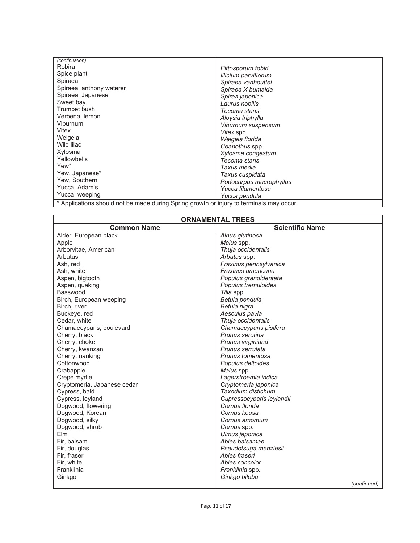| (continuation)                                                                           |                         |  |
|------------------------------------------------------------------------------------------|-------------------------|--|
| Robira                                                                                   | Pittosporum tobiri      |  |
| Spice plant                                                                              | Illicium parviflorum    |  |
| Spiraea                                                                                  | Spiraea vanhouttei      |  |
| Spiraea, anthony waterer                                                                 | Spiraea X bumalda       |  |
| Spiraea, Japanese                                                                        | Spirea japonica         |  |
| Sweet bay                                                                                | Laurus nobilis          |  |
| Trumpet bush                                                                             | Tecoma stans            |  |
| Verbena, lemon                                                                           | Aloysia triphylla       |  |
| Viburnum                                                                                 | Viburnum suspensum      |  |
| Vitex                                                                                    | Vitex spp.              |  |
| Weigela                                                                                  | Weigela florida         |  |
| Wild lilac                                                                               | Ceanothus spp.          |  |
| Xylosma                                                                                  | Xylosma congestum       |  |
| Yellowbells                                                                              | Tecoma stans            |  |
| Yew <sup>*</sup>                                                                         | Taxus media             |  |
| Yew, Japanese*                                                                           | Taxus cuspidata         |  |
| Yew, Southern                                                                            | Podocarpus macrophyllus |  |
| Yucca, Adam's                                                                            | Yucca filamentosa       |  |
| Yucca, weeping                                                                           | Yucca pendula           |  |
| * Applications should not be made during Spring growth or injury to terminals may occur. |                         |  |

 $\epsilon$  ppiications snould not be made during Spring growth or injury to terminals may occur.

| <b>ORNAMENTAL TREES</b>     |                           |  |
|-----------------------------|---------------------------|--|
| <b>Common Name</b>          | <b>Scientific Name</b>    |  |
| Alder, European black       | Alnus glutinosa           |  |
| Apple                       | Malus spp.                |  |
| Arborvitae, American        | Thuja occidentalis        |  |
| Arbutus                     | Arbutus spp.              |  |
| Ash, red                    | Fraxinus pennsylvanica    |  |
| Ash, white                  | Fraxinus americana        |  |
| Aspen, bigtooth             | Populus grandidentata     |  |
| Aspen, quaking              | Populus tremuloides       |  |
| Basswood                    | Tilia spp.                |  |
| Birch, European weeping     | Betula pendula            |  |
| Birch, river                | Betula nigra              |  |
| Buckeye, red                | Aesculus pavia            |  |
| Cedar, white                | Thuja occidentalis        |  |
| Chamaecyparis, boulevard    | Chamaecyparis pisifera    |  |
| Cherry, black               | Prunus serotina           |  |
| Cherry, choke               | Prunus virginiana         |  |
| Cherry, kwanzan             | Prunus serrulata          |  |
| Cherry, nanking             | Prunus tomentosa          |  |
| Cottonwood                  | Populus deltoides         |  |
| Crabapple                   | Malus spp.                |  |
| Crepe myrtle                | Lagerstroemia indica      |  |
| Cryptomeria, Japanese cedar | Cryptomeria japonica      |  |
| Cypress, bald               | Taxodium distichum        |  |
| Cypress, leyland            | Cupressocyparis leylandii |  |
| Dogwood, flowering          | Cornus florida            |  |
| Dogwood, Korean             | Cornus kousa              |  |
| Dogwood, silky              | Cornus amomum             |  |
| Dogwood, shrub              | Cornus spp.               |  |
| Elm                         | Ulmus japonica            |  |
| Fir, balsam                 | Abies balsamae            |  |
| Fir, douglas                | Pseudotsuga menziesii     |  |
| Fir, fraser                 | Abies fraseri             |  |
| Fir, white                  | Abies concolor            |  |
| Franklinia                  | Franklinia spp.           |  |
| Ginkgo                      | Ginkgo biloba             |  |
|                             | (continued)               |  |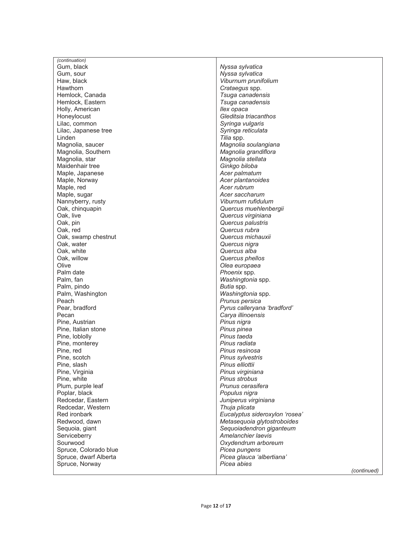| (continuation)        |                                |
|-----------------------|--------------------------------|
| Gum, black            | Nyssa sylvatica                |
| Gum, sour             | Nyssa sylvatica                |
| Haw, black            | Viburnum prunifolium           |
| Hawthorn              | Crataegus spp.                 |
| Hemlock, Canada       | Tsuga canadensis               |
| Hemlock, Eastern      | Tsuga canadensis               |
| Holly, American       | llex opaca                     |
| Honeylocust           | Gleditsia triacanthos          |
| Lilac, common         | Syringa vulgaris               |
| Lilac, Japanese tree  | Syringa reticulata             |
| Linden                | Tilia spp.                     |
| Magnolia, saucer      | Magnolia soulangiana           |
| Magnolia, Southern    | Magnolia grandiflora           |
| Magnolia, star        | Magnolia stellata              |
| Maidenhair tree       | Ginkgo biloba                  |
| Maple, Japanese       | Acer palmatum                  |
| Maple, Norway         | Acer plantanoides              |
| Maple, red            | Acer rubrum                    |
| Maple, sugar          | Acer saccharum                 |
| Nannyberry, rusty     | Viburnum rufidulum             |
| Oak, chinquapin       | Quercus muehlenbergii          |
| Oak, live             | Quercus virginiana             |
| Oak, pin              | Quercus palustris              |
| Oak, red              | Quercus rubra                  |
| Oak, swamp chestnut   | Quercus michauxii              |
| Oak, water            | Quercus nigra                  |
| Oak, white            | Quercus alba                   |
| Oak, willow           | Quercus phellos                |
| Olive                 | Olea europaea                  |
| Palm date             | Phoenix spp.                   |
| Palm, fan             | Washingtonia spp.              |
| Palm, pindo           | Butia spp.                     |
| Palm, Washington      | Washingtonia spp.              |
| Peach                 | Prunus persica                 |
| Pear, bradford        | Pyrus calleryana 'bradford'    |
| Pecan                 | Carya illinoensis              |
| Pine, Austrian        | Pinus nigra                    |
| Pine, Italian stone   | Pinus pinea                    |
| Pine, loblolly        | Pinus taeda                    |
| Pine, monterey        | Pinus radiata                  |
| Pine, red             | Pinus resinosa                 |
| Pine, scotch          | Pinus sylvestris               |
| Pine, slash           | Pinus elliottii                |
| Pine, Virginia        | Pinus virginiana               |
| Pine, white           | Pinus strobus                  |
| Plum, purple leaf     | Prunus cerasifera              |
| Poplar, black         | Populus nigra                  |
| Redcedar, Eastern     | Juniperus virginiana           |
| Redcedar, Western     | Thuja plicata                  |
| Red ironbark          | Eucalyptus sideroxylon 'rosea' |
| Redwood, dawn         | Metasequoia glytostroboides    |
| Sequoia, giant        | Sequoiadendron giganteum       |
| Serviceberry          | Amelanchier laevis             |
| Sourwood              | Oxydendrum arboreum            |
| Spruce, Colorado blue | Picea pungens                  |
| Spruce, dwarf Alberta | Picea glauca 'albertiana'      |
| Spruce, Norway        | Picea abies                    |
|                       | (continued)                    |
|                       |                                |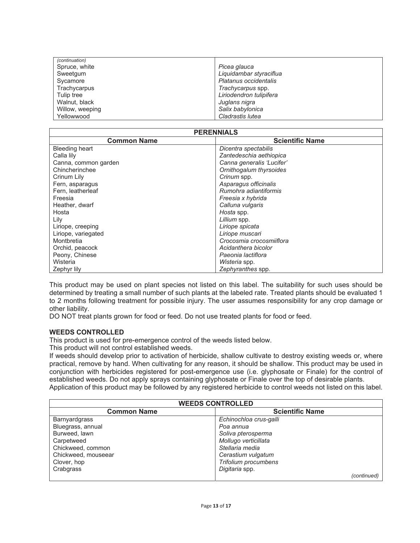| (continuation)  |                         |
|-----------------|-------------------------|
| Spruce, white   | Picea glauca            |
| Sweetgum        | Liquidambar styraciflua |
| Sycamore        | Platanus occidentalis   |
| Trachycarpus    | Trachycarpus spp.       |
| Tulip tree      | Liriodendron tulipifera |
| Walnut, black   | Juglans nigra           |
| Willow, weeping | Salix babylonica        |
| Yellowwood      | Cladrastis lutea        |

| <b>PERENNIALS</b>    |                           |  |  |
|----------------------|---------------------------|--|--|
| <b>Common Name</b>   | <b>Scientific Name</b>    |  |  |
| Bleeding heart       | Dicentra spectabilis      |  |  |
| Calla lily           | Zantedeschia aethiopica   |  |  |
| Canna, common garden | Canna generalis 'Lucifer' |  |  |
| Chincherinchee       | Ornithogalum thyrsoides   |  |  |
| Crinum Lily          | Crinum spp.               |  |  |
| Fern, asparagus      | Asparagus officinalis     |  |  |
| Fern, leatherleaf    | Rumohra adiantiformis     |  |  |
| Freesia              | Freesia x hybrida         |  |  |
| Heather, dwarf       | Calluna vulgaris          |  |  |
| Hosta                | Hosta spp.                |  |  |
| Lily                 | Lillium spp.              |  |  |
| Liriope, creeping    | Liriope spicata           |  |  |
| Liriope, variegated  | Liriope muscari           |  |  |
| Montbretia           | Crocosmia crocosmiiflora  |  |  |
| Orchid, peacock      | Acidanthera bicolor       |  |  |
| Peony, Chinese       | Paeonia lactiflora        |  |  |
| Wisteria             | Wisteria spp.             |  |  |
| Zephyr lily          | Zephyranthes spp.         |  |  |

This product may be used on plant species not listed on this label. The suitability for such uses should be determined by treating a small number of such plants at the labeled rate. Treated plants should be evaluated 1 to 2 months following treatment for possible injury. The user assumes responsibility for any crop damage or other liability.

DO NOT treat plants grown for food or feed. Do not use treated plants for food or feed.

#### **WEEDS CONTROLLED**

This product is used for pre-emergence control of the weeds listed below.

This product will not control established weeds.

If weeds should develop prior to activation of herbicide, shallow cultivate to destroy existing weeds or, where practical, remove by hand. When cultivating for any reason, it should be shallow. This product may be used in conjunction with herbicides registered for post-emergence use (i.e. glyphosate or Finale) for the control of established weeds. Do not apply sprays containing glyphosate or Finale over the top of desirable plants. Application of this product may be followed by any registered herbicide to control weeds not listed on this label.

| <b>WEEDS CONTROLLED</b> |                        |  |  |
|-------------------------|------------------------|--|--|
| <b>Common Name</b>      | <b>Scientific Name</b> |  |  |
| <b>Barnyardgrass</b>    | Echinochloa crus-galli |  |  |
| Bluegrass, annual       | Poa annua              |  |  |
| Burweed, lawn           | Soliva pterosperma     |  |  |
| Carpetweed              | Mollugo verticillata   |  |  |
| Chickweed, common       | Stellaria media        |  |  |
| Chickweed, mouseear     | Cerastium vulgatum     |  |  |
| Clover, hop             | Trifolium procumbens   |  |  |
| Crabgrass               | Digitaria spp.         |  |  |
|                         | (continued)            |  |  |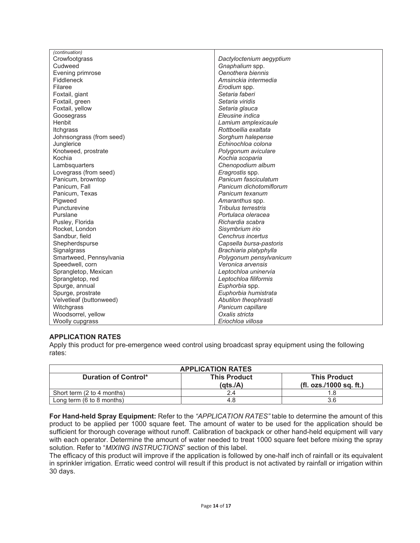| (continuation)           |                            |  |
|--------------------------|----------------------------|--|
| Crowfootgrass            | Dactyloctenium aegyptium   |  |
| Cudweed                  | Gnaphalium spp.            |  |
| Evening primrose         | Oenothera biennis          |  |
| Fiddleneck               | Amsinckia intermedia       |  |
| Filaree                  | Erodium spp.               |  |
| Foxtail, giant           | Setaria faberi             |  |
| Foxtail, green           | Setaria viridis            |  |
| Foxtail, yellow          | Setaria glauca             |  |
| Goosegrass               | Eleusine indica            |  |
| Henbit                   | Lamium amplexicaule        |  |
| Itchgrass                | Rottboellia exaltata       |  |
| Johnsongrass (from seed) | Sorghum halepense          |  |
| Junglerice               | Echinochloa colona         |  |
| Knotweed, prostrate      | Polygonum aviculare        |  |
| Kochia                   | Kochia scoparia            |  |
| Lambsquarters            | Chenopodium album          |  |
| Lovegrass (from seed)    | Eragrostis spp.            |  |
| Panicum, browntop        | Panicum fasciculatum       |  |
| Panicum, Fall            | Panicum dichotomiflorum    |  |
| Panicum, Texas           | Panicum texanum            |  |
| Pigweed                  | Amaranthus spp.            |  |
| Puncturevine             | <b>Tribulus terrestris</b> |  |
| Purslane                 | Portulaca oleracea         |  |
| Pusley, Florida          | Richardia scabra           |  |
| Rocket, London           | Sisymbrium irio            |  |
| Sandbur, field           | Cenchrus incertus          |  |
| Shepherdspurse           | Capsella bursa-pastoris    |  |
| Signalgrass              | Brachiaria platyphylla     |  |
| Smartweed, Pennsylvania  | Polygonum pensylvanicum    |  |
| Speedwell, corn          | Veronica arvensis          |  |
| Sprangletop, Mexican     | Leptochloa uninervia       |  |
| Sprangletop, red         | Leptochloa filiformis      |  |
| Spurge, annual           | Euphorbia spp.             |  |
| Spurge, prostrate        | Euphorbia humistrata       |  |
| Velvetleaf (buttonweed)  | Abutilon theophrasti       |  |
| Witchgrass               | Panicum capillare          |  |
| Woodsorrel, yellow       | Oxalis stricta             |  |
| Woolly cupgrass          | Eriochloa villosa          |  |

# **APPLICATION RATES**

Apply this product for pre-emergence weed control using broadcast spray equipment using the following rates:

| <b>APPLICATION RATES</b>                     |                                 |                                                |  |
|----------------------------------------------|---------------------------------|------------------------------------------------|--|
| Duration of Control*                         | <b>This Product</b><br>(qts./A) | <b>This Product</b><br>(fl. ozs./1000 sq. ft.) |  |
| Short term (2 to 4 months)                   |                                 |                                                |  |
| Long term $(6 \text{ to } 8 \text{ months})$ | 4.8                             | 3.6                                            |  |

**For Hand-held Spray Equipment:** Refer to the *"APPLICATION RATES"* table to determine the amount of this product to be applied per 1000 square feet. The amount of water to be used for the application should be sufficient for thorough coverage without runoff. Calibration of backpack or other hand-held equipment will vary with each operator. Determine the amount of water needed to treat 1000 square feet before mixing the spray solution. Refer to "*MIXING INSTRUCTIONS*" section of this label.

The efficacy of this product will improve if the application is followed by one-half inch of rainfall or its equivalent in sprinkler irrigation. Erratic weed control will result if this product is not activated by rainfall or irrigation within 30 days.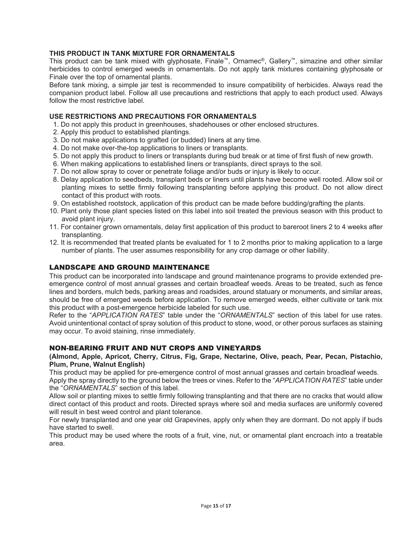# **THIS PRODUCT IN TANK MIXTURE FOR ORNAMENTALS**

This product can be tank mixed with glyphosate, Finale™, Ornamec®, Gallery™, simazine and other similar herbicides to control emerged weeds in ornamentals. Do not apply tank mixtures containing glyphosate or Finale over the top of ornamental plants.

Before tank mixing, a simple jar test is recommended to insure compatibility of herbicides. Always read the companion product label. Follow all use precautions and restrictions that apply to each product used. Always follow the most restrictive label.

# **USE RESTRICTIONS AND PRECAUTIONS FOR ORNAMENTALS**

- 1. Do not apply this product in greenhouses, shadehouses or other enclosed structures.
- 2. Apply this product to established plantings.
- 3. Do not make applications to grafted (or budded) liners at any time.
- 4. Do not make over-the-top applications to liners or transplants.
- 5. Do not apply this product to liners or transplants during bud break or at time of first flush of new growth.
- 6. When making applications to established liners or transplants, direct sprays to the soil.
- 7. Do not allow spray to cover or penetrate foliage and/or buds or injury is likely to occur.
- 8. Delay application to seedbeds, transplant beds or liners until plants have become well rooted. Allow soil or planting mixes to settle firmly following transplanting before applying this product. Do not allow direct contact of this product with roots.
- 9. On established rootstock, application of this product can be made before budding/grafting the plants.
- 10. Plant only those plant species listed on this label into soil treated the previous season with this product to avoid plant injury.
- 11. For container grown ornamentals, delay first application of this product to bareroot liners 2 to 4 weeks after transplanting.
- 12. It is recommended that treated plants be evaluated for 1 to 2 months prior to making application to a large number of plants. The user assumes responsibility for any crop damage or other liability.

# LANDSCAPE AND GROUND MAINTENANCE

This product can be incorporated into landscape and ground maintenance programs to provide extended preemergence control of most annual grasses and certain broadleaf weeds. Areas to be treated, such as fence lines and borders, mulch beds, parking areas and roadsides, around statuary or monuments, and similar areas, should be free of emerged weeds before application. To remove emerged weeds, either cultivate or tank mix this product with a post-emergence herbicide labeled for such use.

Refer to the "*APPLICATION RATES*" table under the "*ORNAMENTALS*" section of this label for use rates. Avoid unintentional contact of spray solution of this product to stone, wood, or other porous surfaces as staining may occur. To avoid staining, rinse immediately.

# NON-BEARING FRUIT AND NUT CROPS AND VINEYARDS

#### **(Almond, Apple, Apricot, Cherry, Citrus, Fig, Grape, Nectarine, Olive, peach, Pear, Pecan, Pistachio, Plum, Prune, Walnut English)**

This product may be applied for pre-emergence control of most annual grasses and certain broadleaf weeds. Apply the spray directly to the ground below the trees or vines. Refer to the "*APPLICATION RATES*" table under the "*ORNAMENTALS*" section of this label.

Allow soil or planting mixes to settle firmly following transplanting and that there are no cracks that would allow direct contact of this product and roots. Directed sprays where soil and media surfaces are uniformly covered will result in best weed control and plant tolerance.

For newly transplanted and one year old Grapevines, apply only when they are dormant. Do not apply if buds have started to swell.

This product may be used where the roots of a fruit, vine, nut, or ornamental plant encroach into a treatable area.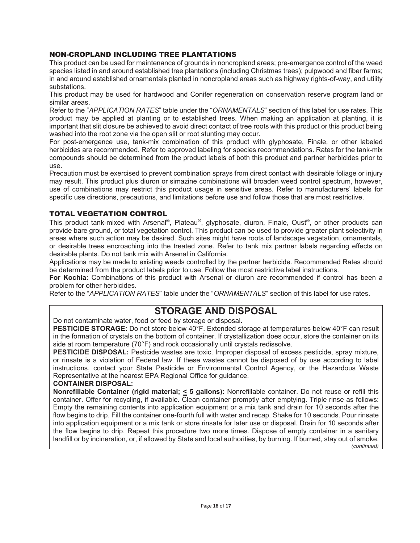# NON-CROPLAND INCLUDING TREE PLANTATIONS

This product can be used for maintenance of grounds in noncropland areas; pre-emergence control of the weed species listed in and around established tree plantations (including Christmas trees); pulpwood and fiber farms; in and around established ornamentals planted in noncropland areas such as highway rights-of-way, and utility substations.

This product may be used for hardwood and Conifer regeneration on conservation reserve program land or similar areas.

Refer to the "*APPLICATION RATES*" table under the "*ORNAMENTALS*" section of this label for use rates. This product may be applied at planting or to established trees. When making an application at planting, it is important that slit closure be achieved to avoid direct contact of tree roots with this product or this product being washed into the root zone via the open slit or root stunting may occur.

For post-emergence use, tank-mix combination of this product with glyphosate, Finale, or other labeled herbicides are recommended. Refer to approved labeling for species recommendations. Rates for the tank-mix compounds should be determined from the product labels of both this product and partner herbicides prior to use.

Precaution must be exercised to prevent combination sprays from direct contact with desirable foliage or injury may result. This product plus diuron or simazine combinations will broaden weed control spectrum, however, use of combinations may restrict this product usage in sensitive areas. Refer to manufacturers' labels for specific use directions, precautions, and limitations before use and follow those that are most restrictive.

# TOTAL VEGETATION CONTROL

This product tank-mixed with Arsenal®, Plateau®, glyphosate, diuron, Finale, Oust®, or other products can provide bare ground, or total vegetation control. This product can be used to provide greater plant selectivity in areas where such action may be desired. Such sites might have roots of landscape vegetation, ornamentals, or desirable trees encroaching into the treated zone. Refer to tank mix partner labels regarding effects on desirable plants. Do not tank mix with Arsenal in California.

Applications may be made to existing weeds controlled by the partner herbicide. Recommended Rates should be determined from the product labels prior to use. Follow the most restrictive label instructions.

For Kochia: Combinations of this product with Arsenal or diuron are recommended if control has been a problem for other herbicides.

Refer to the "*APPLICATION RATES*" table under the "*ORNAMENTALS*" section of this label for use rates.

# **STORAGE AND DISPOSAL**

Do not contaminate water, food or feed by storage or disposal.

**PESTICIDE STORAGE:** Do not store below 40°F. Extended storage at temperatures below 40°F can result in the formation of crystals on the bottom of container. If crystallization does occur, store the container on its side at room temperature (70°F) and rock occasionally until crystals redissolve.

**PESTICIDE DISPOSAL:** Pesticide wastes are toxic. Improper disposal of excess pesticide, spray mixture, or rinsate is a violation of Federal law. If these wastes cannot be disposed of by use according to label instructions, contact your State Pesticide or Environmental Control Agency, or the Hazardous Waste Representative at the nearest EPA Regional Office for guidance.

#### **CONTAINER DISPOSAL:**

**Nonrefillable Container (rigid material; < 5 gallons):** Nonrefillable container. Do not reuse or refill this container. Offer for recycling, if available. Clean container promptly after emptying. Triple rinse as follows: Empty the remaining contents into application equipment or a mix tank and drain for 10 seconds after the flow begins to drip. Fill the container one-fourth full with water and recap. Shake for 10 seconds. Pour rinsate into application equipment or a mix tank or store rinsate for later use or disposal. Drain for 10 seconds after the flow begins to drip. Repeat this procedure two more times. Dispose of empty container in a sanitary landfill or by incineration, or, if allowed by State and local authorities, by burning. If burned, stay out of smoke. *(continued)*